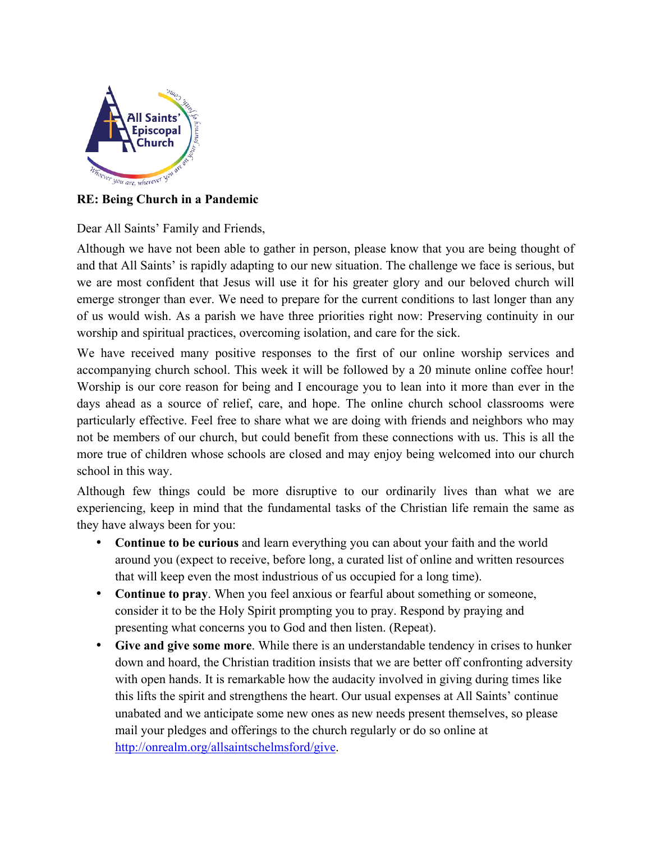

## **RE: Being Church in a Pandemic**

Dear All Saints' Family and Friends,

Although we have not been able to gather in person, please know that you are being thought of and that All Saints' is rapidly adapting to our new situation. The challenge we face is serious, but we are most confident that Jesus will use it for his greater glory and our beloved church will emerge stronger than ever. We need to prepare for the current conditions to last longer than any of us would wish. As a parish we have three priorities right now: Preserving continuity in our worship and spiritual practices, overcoming isolation, and care for the sick.

We have received many positive responses to the first of our online worship services and accompanying church school. This week it will be followed by a 20 minute online coffee hour! Worship is our core reason for being and I encourage you to lean into it more than ever in the days ahead as a source of relief, care, and hope. The online church school classrooms were particularly effective. Feel free to share what we are doing with friends and neighbors who may not be members of our church, but could benefit from these connections with us. This is all the more true of children whose schools are closed and may enjoy being welcomed into our church school in this way.

Although few things could be more disruptive to our ordinarily lives than what we are experiencing, keep in mind that the fundamental tasks of the Christian life remain the same as they have always been for you:

- **Continue to be curious** and learn everything you can about your faith and the world around you (expect to receive, before long, a curated list of online and written resources that will keep even the most industrious of us occupied for a long time).
- **Continue to pray**. When you feel anxious or fearful about something or someone, consider it to be the Holy Spirit prompting you to pray. Respond by praying and presenting what concerns you to God and then listen. (Repeat).
- **Give and give some more**. While there is an understandable tendency in crises to hunker down and hoard, the Christian tradition insists that we are better off confronting adversity with open hands. It is remarkable how the audacity involved in giving during times like this lifts the spirit and strengthens the heart. Our usual expenses at All Saints' continue unabated and we anticipate some new ones as new needs present themselves, so please mail your pledges and offerings to the church regularly or do so online at http://onrealm.org/allsaintschelmsford/give.